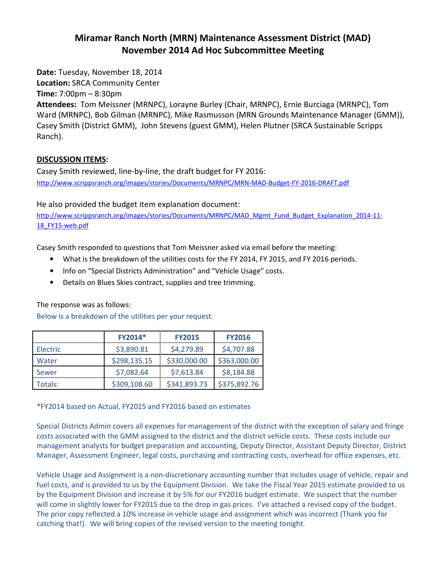## Miramar Ranch North (MRN) Maintenance Assessment District (MAD) November 2014 Ad Hoc Subcommittee Meeting

Date: Tuesday, November 18, 2014

Location: SRCA Community Center

Time: 7:00pm – 8:30pm

Attendees: Tom Meissner (MRNPC), Lorayne Burley (Chair, MRNPC), Ernie Burciaga (MRNPC), Tom Ward (MRNPC), Bob Gilman (MRNPC), Mike Rasmusson (MRN Grounds Maintenance Manager (GMM)), Casey Smith (District GMM), John Stevens (guest GMM), Helen Plutner (SRCA Sustainable Scripps Ranch).

## DISCUSSION ITEMS:

Casey Smith reviewed, line-by-line, the draft budget for FY 2016: http://www.scrippsranch.org/images/stories/Documents/MRNPC/MRN-MAD-Budget-FY-2016-DRAFT.pdf

He also provided the budget item explanation document:

http://www.scrippsranch.org/images/stories/Documents/MRNPC/MAD\_Mgmt\_Fund\_Budget\_Explanation\_2014-11-18\_FY15-web.pdf

Casey Smith responded to questions that Tom Meissner asked via email before the meeting:

- What is the breakdown of the utilities costs for the FY 2014, FY 2015, and FY 2016 periods.
- Info on "Special Districts Administration" and "Vehicle Usage" costs.
- Details on Blues Skies contract, supplies and tree trimming.

The response was as follows:

Below is a breakdown of the utilities per your request.

|          | FY2014*      | <b>FY2015</b> | <b>FY2016</b> |
|----------|--------------|---------------|---------------|
| Electric | \$3,890.81   | \$4,279.89    | \$4,707.88    |
| Water    | \$298,135.15 | \$330,000.00  | \$363,000.00  |
| Sewer    | \$7,082.64   | \$7,613.84    | \$8,184.88    |
| Totals:  | \$309,108.60 | \$341,893.73  | \$375,892.76  |

\*FY2014 based on Actual, FY2015 and FY2016 based on estimates

Special Districts Admin covers all expenses for management of the district with the exception of salary and fringe costs associated with the GMM assigned to the district and the district vehicle costs. These costs include our management analysts for budget preparation and accounting, Deputy Director, Assistant Deputy Director, District Manager, Assessment Engineer, legal costs, purchasing and contracting costs, overhead for office expenses, etc.

Vehicle Usage and Assignment is a non-discretionary accounting number that includes usage of vehicle, repair and fuel costs, and is provided to us by the Equipment Division. We take the Fiscal Year 2015 estimate provided to us by the Equipment Division and increase it by 5% for our FY2016 budget estimate. We suspect that the number will come in slightly lower for FY2015 due to the drop in gas prices. I've attached a revised copy of the budget. The prior copy reflected a 10% increase in vehicle usage and assignment which was incorrect (Thank you for catching that!). We will bring copies of the revised version to the meeting tonight.